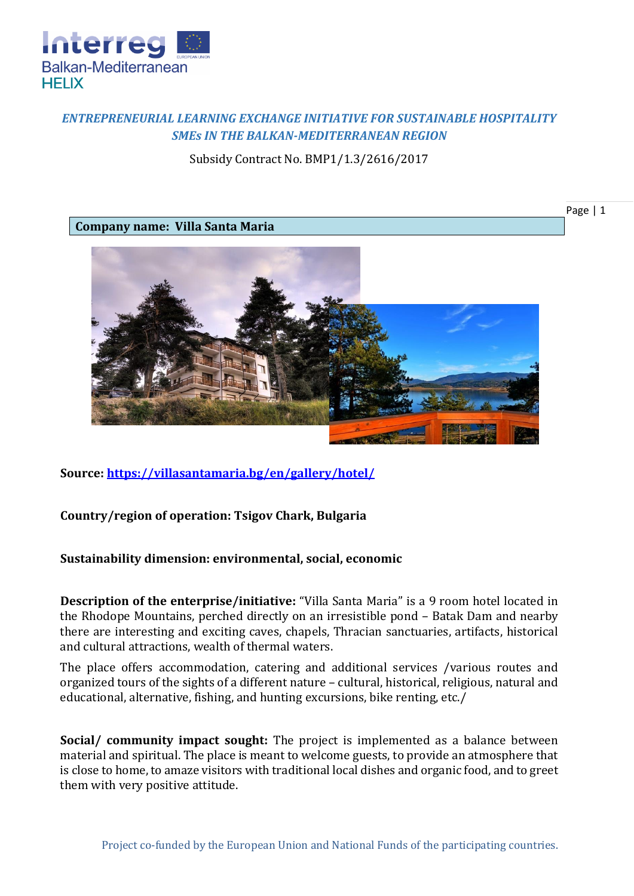

## *ENTREPRENEURIAL LEARNING EXCHANGE INITIATIVE FOR SUSTAINABLE HOSPITALITY SMEs IN THE BALKAN-MEDITERRANEAN REGION*

Subsidy Contract No. BMP1/1.3/2616/2017

Page | 1

**Company name: Villa Santa Maria**



**Source:<https://villasantamaria.bg/en/gallery/hotel/>**

## **Country/region of operation: Tsigov Chark, Bulgaria**

## **Sustainability dimension: environmental, social, economic**

**Description of the enterprise/initiative:** "Villa Santa Maria" is a 9 room hotel located in the Rhodope Mountains, perched directly on an irresistible pond – Batak Dam and nearby there are interesting and exciting caves, chapels, Thracian sanctuaries, artifacts, historical and cultural attractions, wealth of thermal waters.

The place offers accommodation, catering and additional services /various routes and organized tours of the sights of a different nature – cultural, historical, religious, natural and educational, alternative, fishing, and hunting excursions, bike renting, etc./

**Social/ community impact sought:** The project is implemented as a balance between material and spiritual. The place is meant to welcome guests, to provide an atmosphere that is close to home, to amaze visitors with traditional local dishes and organic food, and to greet them with very positive attitude.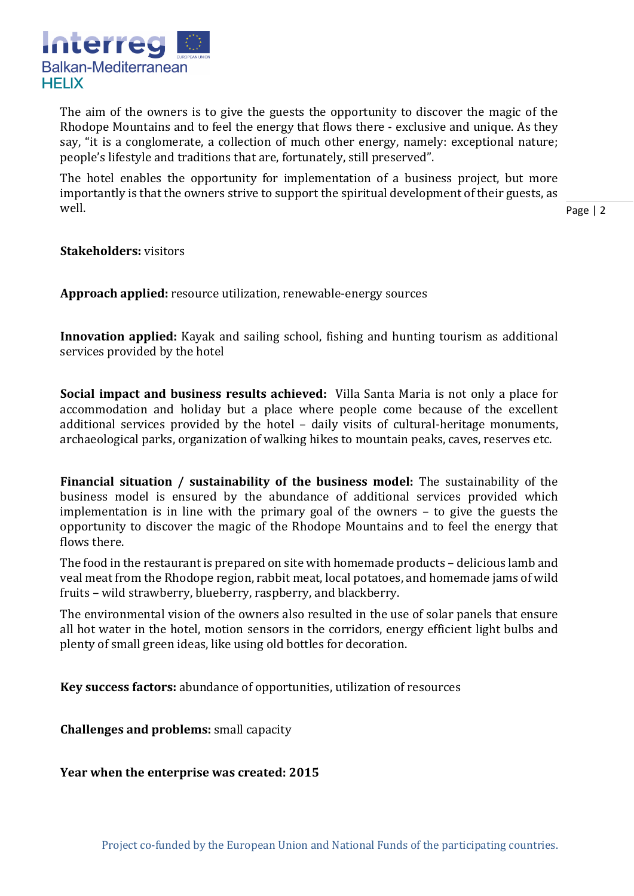

The aim of the owners is to give the guests the opportunity to discover the magic of the Rhodope Mountains and to feel the energy that flows there - exclusive and unique. As they say, "it is a conglomerate, a collection of much other energy, namely: exceptional nature; people's lifestyle and traditions that are, fortunately, still preserved".

The hotel enables the opportunity for implementation of a business project, but more importantly is that the owners strive to support the spiritual development of their guests, as well.

Page | 2

**Stakeholders:** visitors

**Approach applied:** resource utilization, renewable-energy sources

**Innovation applied:** Kayak and sailing school, fishing and hunting tourism as additional services provided by the hotel

**Social impact and business results achieved:** Villa Santa Maria is not only a place for accommodation and holiday but a place where people come because of the excellent additional services provided by the hotel – daily visits of cultural-heritage monuments, archaeological parks, organization of walking hikes to mountain peaks, caves, reserves etc.

**Financial situation / sustainability of the business model:** The sustainability of the business model is ensured by the abundance of additional services provided which implementation is in line with the primary goal of the owners – to give the guests the opportunity to discover the magic of the Rhodope Mountains and to feel the energy that flows there.

The food in the restaurant is prepared on site with homemade products – delicious lamb and veal meat from the Rhodope region, rabbit meat, local potatoes, and homemade jams of wild fruits – wild strawberry, blueberry, raspberry, and blackberry.

The environmental vision of the owners also resulted in the use of solar panels that ensure all hot water in the hotel, motion sensors in the corridors, energy efficient light bulbs and plenty of small green ideas, like using old bottles for decoration.

**Key success factors:** abundance of opportunities, utilization of resources

**Challenges and problems:** small capacity

**Year when the enterprise was created: 2015**